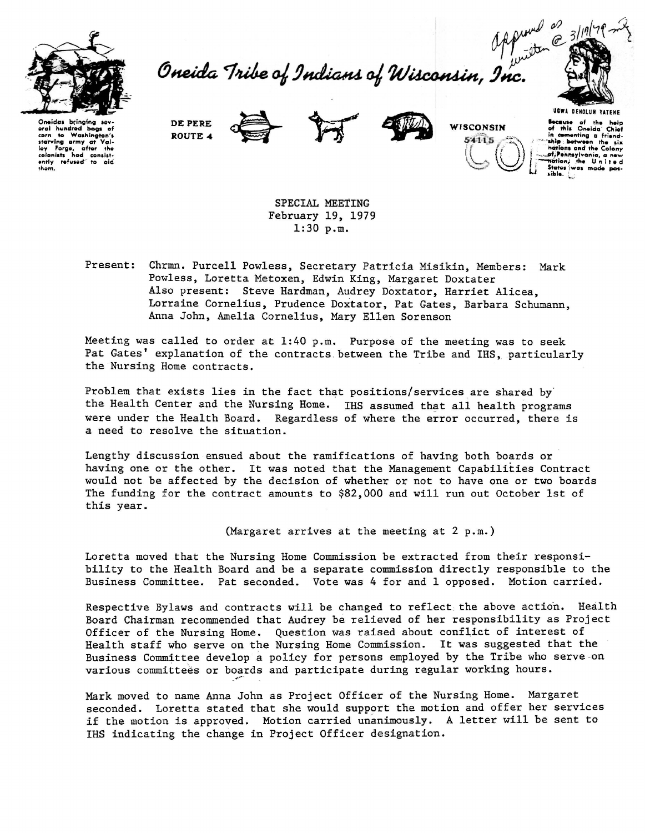

Oneida Tribe of Indians of Wisconsin, Inc.



Oneidas bring eral hundred bags of to Washingto corn starving army at Valley Forge, after the<br>colonists had consistcolonists had consist-<br>ently refused to aid  $h \circ m$ 

DE PERE ROUTE 4





WISCONSIN 54115

**Because** of the help of this Oneida' Chief<br>in comenting a friend-<br>"ship between the six hations and the Colony ot Pennsylvania, sible.

SPECIAL MEETING February 19, 1979  $1:30$  p.m.

Present: Chrmn. Purcell Powless, Secretary Patricia Misikin, Members: Mark Powless, Loretta Metoxen, Edwin King, Margaret Doxtater Also present: Steve Hardman, Audrey Doxtator, Harriet Alicea, Lorraine Cornelius, Prudence Doxtator, Pat Gates, Barbara Schumann, Anna John, Amelia Cornelius, Mary Ellen Sorenson

Meeting was called to order at 1:40 p.m. Purpose of the meeting was to seek Pat Gates' explanation of the contracts between the Tribe and IHS, particularly the Nursing Home contracts.

Problem that exists lies in the fact that positions/services are shared by the Health Center and the Nursing Home. IHS assumed that all health programs were under the Health Board. Regardless of where the error occurred, there is a need to resolve the situation.

Lengthy discussion ensued about the ramifications of having both boards or having one or the other. It was noted that the Management Capabilities Contract would not be affected by the decision of whether or not to have one or two boards The funding for the contract amounts to \$82,000 and will run out October 1st of this year.

(Margaret arrives at the meeting at 2 p.m.)

Loretta moved that the Nursing Home Commission be extracted from their responsibility to the Health Board and be a separate commission directly responsible to the Business Committee. Pat seconded. Vote was 4 for and 1 opposed. Motion carried.

Respective Bylaws and contracts will be changed to reflect the above action. Health Board Chairman recommended that Audrey be relieved of her responsibility as Project Officer of the Nursing Home. Question was raised about conflict of interest of Health staff who serve on the Nursing Home Commission. It was suggested that the Business Committee develop a policy for persons employed by the Tribe who serve on various committees or boards and participate during regular working hours.

Mark moved to name Anna John as Project Officer of the Nursing Home. Margaret seconded. Loretta stated that she would support the motion and offer her services if the motion is approved. Motion carried unanimously. A letter will be sent to IHS indicating the change in Project Officer designation.